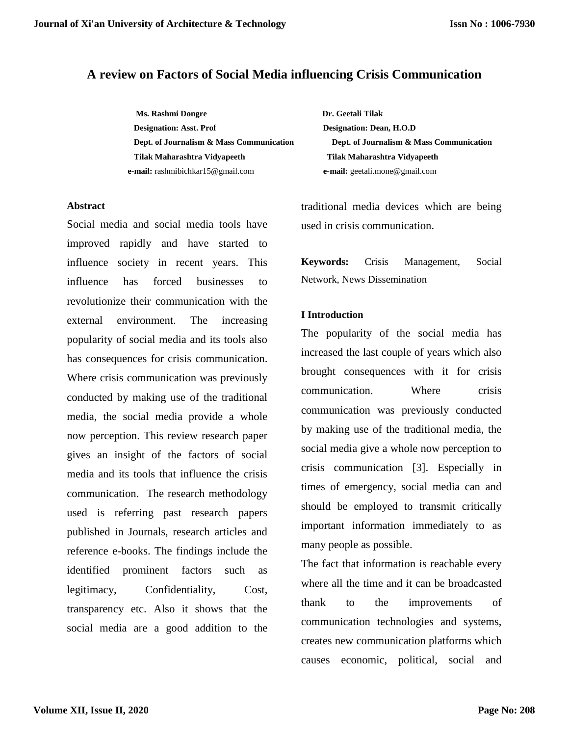## **A review on Factors of Social Media influencing Crisis Communication**

**Ms. Rashmi Dongre Dr. Geetali Tilak Designation: Asst. Prof Designation: Dean, H.O.D Tilak Maharashtra Vidyapeeth Tilak Maharashtra Vidyapeeth e-mail:** rashmibichkar15@gmail.com **e-mail:** geetali.mone@gmail.com

#### **Abstract**

Social media and social media tools have improved rapidly and have started to influence society in recent years. This influence has forced businesses to revolutionize their communication with the external environment. The increasing popularity of social media and its tools also has consequences for crisis communication. Where crisis communication was previously conducted by making use of the traditional media, the social media provide a whole now perception. This review research paper gives an insight of the factors of social media and its tools that influence the crisis communication. The research methodology used is referring past research papers published in Journals, research articles and reference e-books. The findings include the identified prominent factors such as legitimacy, Confidentiality, Cost, transparency etc. Also it shows that the social media are a good addition to the

**Dept. of Journalism & Mass Communication Dept. of Journalism & Mass Communication** 

traditional media devices which are being used in crisis communication.

**Keywords:** Crisis Management, Social Network, News Dissemination

### **I Introduction**

The popularity of the social media has increased the last couple of years which also brought consequences with it for crisis communication. Where crisis communication was previously conducted by making use of the traditional media, the social media give a whole now perception to crisis communication [3]. Especially in times of emergency, social media can and should be employed to transmit critically important information immediately to as many people as possible.

The fact that information is reachable every where all the time and it can be broadcasted thank to the improvements of communication technologies and systems, creates new communication platforms which causes economic, political, social and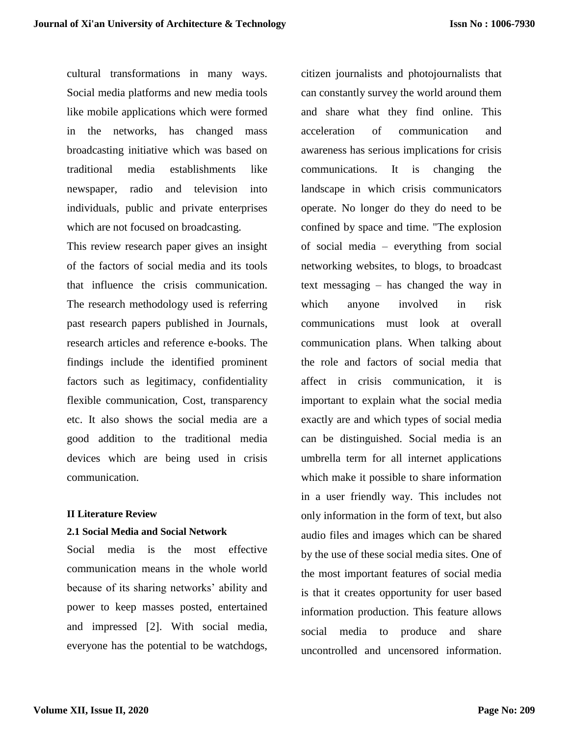cultural transformations in many ways. Social media platforms and new media tools like mobile applications which were formed in the networks, has changed mass broadcasting initiative which was based on traditional media establishments like newspaper, radio and television into individuals, public and private enterprises which are not focused on broadcasting.

This review research paper gives an insight of the factors of social media and its tools that influence the crisis communication. The research methodology used is referring past research papers published in Journals, research articles and reference e-books. The findings include the identified prominent factors such as legitimacy, confidentiality flexible communication, Cost, transparency etc. It also shows the social media are a good addition to the traditional media devices which are being used in crisis communication.

### **II Literature Review**

### **2.1 Social Media and Social Network**

Social media is the most effective communication means in the whole world because of its sharing networks' ability and power to keep masses posted, entertained and impressed [2]. With social media, everyone has the potential to be watchdogs,

citizen journalists and photojournalists that can constantly survey the world around them and share what they find online. This acceleration of communication and awareness has serious implications for crisis communications. It is changing the landscape in which crisis communicators operate. No longer do they do need to be confined by space and time. "The explosion of social media – everything from social networking websites, to blogs, to broadcast text messaging – has changed the way in which anyone involved in risk communications must look at overall communication plans. When talking about the role and factors of social media that affect in crisis communication, it is important to explain what the social media exactly are and which types of social media can be distinguished. Social media is an umbrella term for all internet applications which make it possible to share information in a user friendly way. This includes not only information in the form of text, but also audio files and images which can be shared by the use of these social media sites. One of the most important features of social media is that it creates opportunity for user based information production. This feature allows social media to produce and share uncontrolled and uncensored information.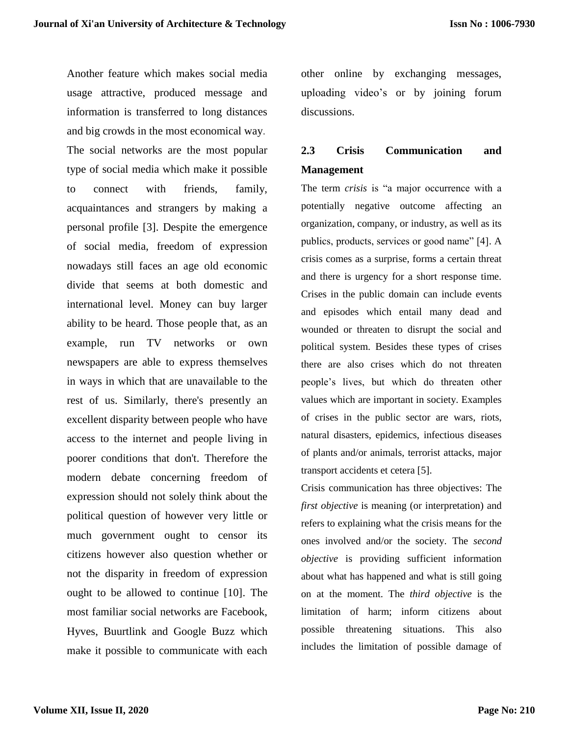Another feature which makes social media usage attractive, produced message and information is transferred to long distances and big crowds in the most economical way. The social networks are the most popular type of social media which make it possible to connect with friends, family, acquaintances and strangers by making a personal profile [3]. Despite the emergence of social media, freedom of expression nowadays still faces an age old economic divide that seems at both domestic and international level. Money can buy larger ability to be heard. Those people that, as an example, run TV networks or own newspapers are able to express themselves in ways in which that are unavailable to the rest of us. Similarly, there's presently an excellent disparity between people who have access to the internet and people living in poorer conditions that don't. Therefore the modern debate concerning freedom of expression should not solely think about the political question of however very little or much government ought to censor its citizens however also question whether or not the disparity in freedom of expression ought to be allowed to continue [10]. The most familiar social networks are Facebook, Hyves, Buurtlink and Google Buzz which make it possible to communicate with each

other online by exchanging messages, uploading video's or by joining forum discussions.

# **2.3 Crisis Communication and Management**

The term *crisis* is "a major occurrence with a potentially negative outcome affecting an organization, company, or industry, as well as its publics, products, services or good name" [4]. A crisis comes as a surprise, forms a certain threat and there is urgency for a short response time. Crises in the public domain can include events and episodes which entail many dead and wounded or threaten to disrupt the social and political system. Besides these types of crises there are also crises which do not threaten people's lives, but which do threaten other values which are important in society. Examples of crises in the public sector are wars, riots, natural disasters, epidemics, infectious diseases of plants and/or animals, terrorist attacks, major transport accidents et cetera [5].

Crisis communication has three objectives: The *first objective* is meaning (or interpretation) and refers to explaining what the crisis means for the ones involved and/or the society. The *second objective* is providing sufficient information about what has happened and what is still going on at the moment. The *third objective* is the limitation of harm; inform citizens about possible threatening situations. This also includes the limitation of possible damage of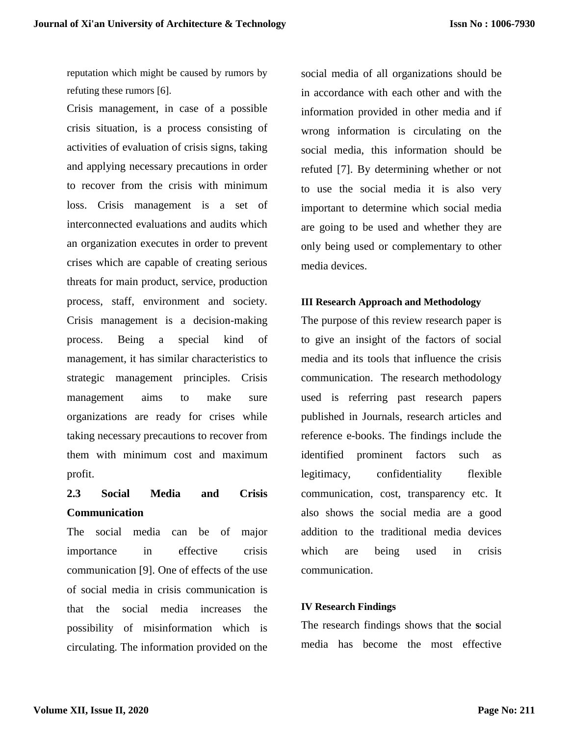reputation which might be caused by rumors by refuting these rumors [6].

Crisis management, in case of a possible crisis situation, is a process consisting of activities of evaluation of crisis signs, taking and applying necessary precautions in order to recover from the crisis with minimum loss. Crisis management is a set of interconnected evaluations and audits which an organization executes in order to prevent crises which are capable of creating serious threats for main product, service, production process, staff, environment and society. Crisis management is a decision-making process. Being a special kind of management, it has similar characteristics to strategic management principles. Crisis management aims to make sure organizations are ready for crises while taking necessary precautions to recover from them with minimum cost and maximum profit.

## **2.3 Social Media and Crisis Communication**

The social media can be of major importance in effective crisis communication [9]. One of effects of the use of social media in crisis communication is that the social media increases the possibility of misinformation which is circulating. The information provided on the social media of all organizations should be in accordance with each other and with the information provided in other media and if wrong information is circulating on the social media, this information should be refuted [7]. By determining whether or not to use the social media it is also very important to determine which social media are going to be used and whether they are only being used or complementary to other media devices.

## **III Research Approach and Methodology**

The purpose of this review research paper is to give an insight of the factors of social media and its tools that influence the crisis communication. The research methodology used is referring past research papers published in Journals, research articles and reference e-books. The findings include the identified prominent factors such as legitimacy, confidentiality flexible communication, cost, transparency etc. It also shows the social media are a good addition to the traditional media devices which are being used in crisis communication.

### **IV Research Findings**

The research findings shows that the **s**ocial media has become the most effective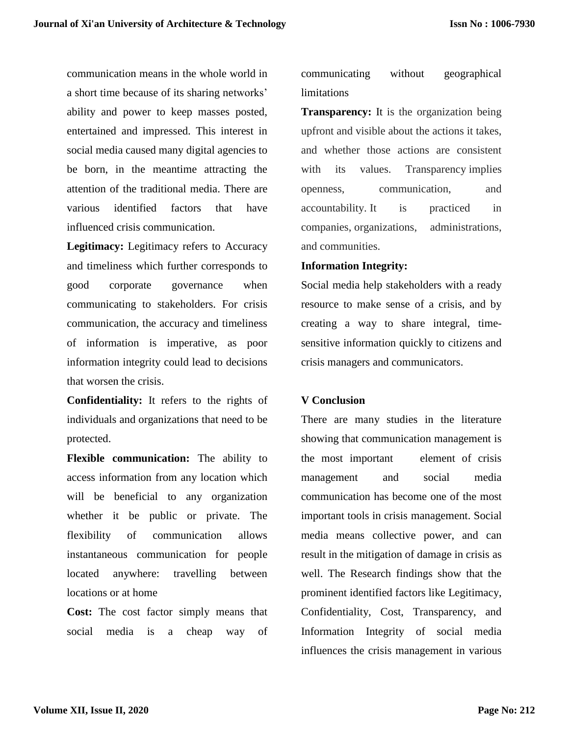communication means in the whole world in a short time because of its sharing networks' ability and power to keep masses posted, entertained and impressed. This interest in social media caused many digital agencies to be born, in the meantime attracting the attention of the traditional media. There are various identified factors that have influenced crisis communication.

**Legitimacy:** Legitimacy refers to Accuracy and timeliness which further corresponds to good corporate governance when communicating to stakeholders. For crisis communication, the accuracy and timeliness of information is imperative, as poor information integrity could lead to decisions that worsen the crisis.

**Confidentiality:** It refers to the rights of individuals and organizations that need to be protected.

**Flexible communication:** The ability to access information from any location which will be beneficial to any organization whether it be public or private. The flexibility of communication allows instantaneous communication for people located anywhere: travelling between locations or at home

**Cost:** The cost factor simply means that social media is a cheap way of communicating without geographical limitations

**Transparency:** It is the organization being upfront and visible about the actions it takes, and whether those actions are consistent with its values. Transparency implies openness, communication, and accountability. It is practiced in companies, organizations, administrations, and communities.

## **Information Integrity:**

Social media help stakeholders with a ready resource to make sense of a crisis, and by creating a way to share integral, timesensitive information quickly to citizens and crisis managers and communicators.

## **V Conclusion**

There are many studies in the literature showing that communication management is the most important element of crisis management and social media communication has become one of the most important tools in crisis management. Social media means collective power, and can result in the mitigation of damage in crisis as well. The Research findings show that the prominent identified factors like Legitimacy, Confidentiality, Cost, Transparency, and Information Integrity of social media influences the crisis management in various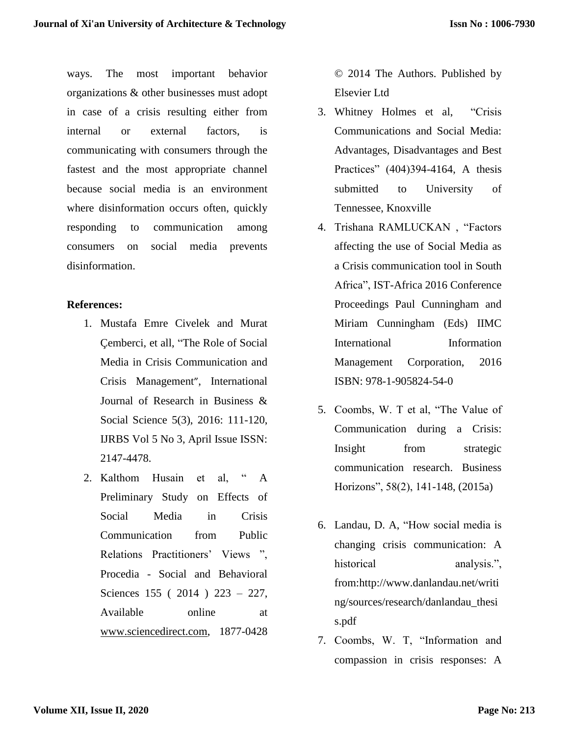ways. The most important behavior organizations & other businesses must adopt in case of a crisis resulting either from internal or external factors, is communicating with consumers through the fastest and the most appropriate channel because social media is an environment where disinformation occurs often, quickly responding to communication among consumers on social media prevents disinformation.

## **References:**

- 1. Mustafa Emre Civelek and Murat Çemberci, et all, "The Role of Social Media in Crisis Communication and Crisis Management", International Journal of Research in Business & Social Science 5(3), 2016: 111-120, IJRBS Vol 5 No 3, April Issue ISSN: 2147-4478.
- 2. Kalthom Husain et al, " A Preliminary Study on Effects of Social Media in Crisis Communication from Public Relations Practitioners' Views ", Procedia - Social and Behavioral Sciences 155 ( 2014 ) 223 – 227, Available online at [www.sciencedirect.com,](http://www.sciencedirect.com/) 1877-0428

© 2014 The Authors. Published by Elsevier Ltd

- 3. Whitney Holmes et al, "Crisis Communications and Social Media: Advantages, Disadvantages and Best Practices" (404)394-4164, A thesis submitted to University of Tennessee, Knoxville
- 4. Trishana RAMLUCKAN , "Factors affecting the use of Social Media as a Crisis communication tool in South Africa", IST-Africa 2016 Conference Proceedings Paul Cunningham and Miriam Cunningham (Eds) IIMC International Information Management Corporation, 2016 ISBN: 978-1-905824-54-0
- 5. Coombs, W. T et al, "The Value of Communication during a Crisis: Insight from strategic communication research. Business Horizons", 58(2), 141-148, (2015a)
- 6. Landau, D. A, "How social media is changing crisis communication: A historical analysis.", from:http://www.danlandau.net/writi ng/sources/research/danlandau\_thesi s.pdf
- 7. Coombs, W. T, "Information and compassion in crisis responses: A